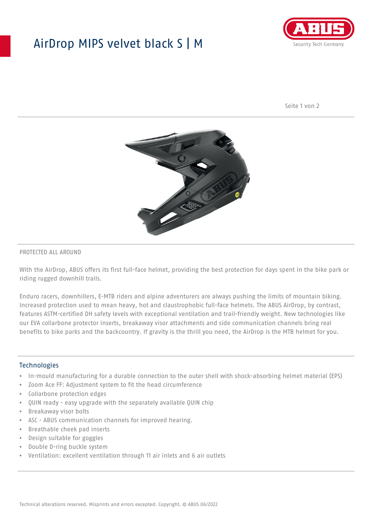## AirDrop MIPS velvet black S | M



Seite 1 von 2



#### PROTECTED ALL AROUND

With the AirDrop, ABUS offers its first full-face helmet, providing the best protection for days spent in the bike park or riding rugged downhill trails.

Enduro racers, downhillers, E-MTB riders and alpine adventurers are always pushing the limits of mountain biking. Increased protection used to mean heavy, hot and claustrophobic full-face helmets. The ABUS AirDrop, by contrast, features ASTM-certified DH safety levels with exceptional ventilation and trail-friendly weight. New technologies like our EVA collarbone protector inserts, breakaway visor attachments and side communication channels bring real benefits to bike parks and the backcountry. If gravity is the thrill you need, the AirDrop is the MTB helmet for you.

#### **Technologies**

- In-mould manufacturing for a durable connection to the outer shell with shock-absorbing helmet material (EPS)
- Zoom Ace FF: Adjustment system to fit the head circumference
- Collarbone protection edges
- QUIN ready easy upgrade with the separately available QUIN chip
- Breakaway visor bolts
- ASC ABUS communication channels for improved hearing.
- Breathable cheek pad inserts
- Design suitable for goggles
- Double D-ring buckle system
- Ventilation: excellent ventilation through 11 air inlets and 6 air outlets